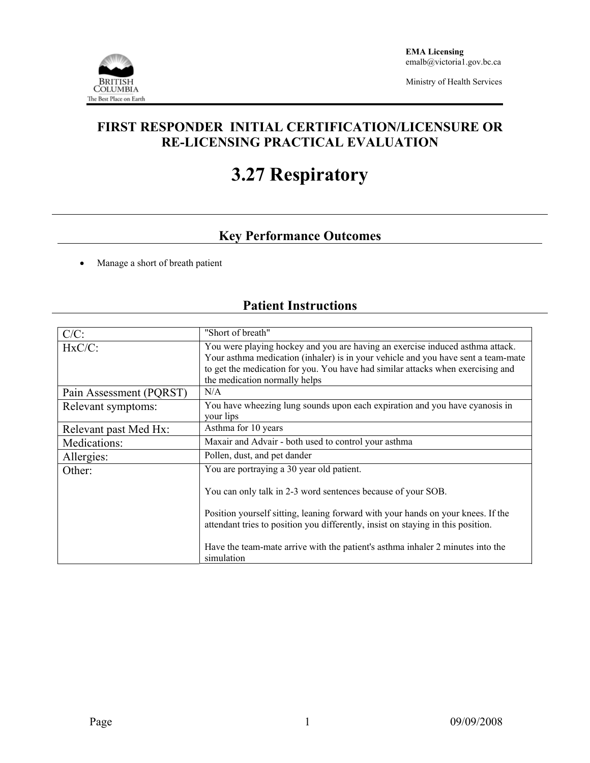

Ministry of Health Services

### **FIRST RESPONDER INITIAL CERTIFICATION/LICENSURE OR RE-LICENSING PRACTICAL EVALUATION**

# **3.27 Respiratory**

## **Key Performance Outcomes**

• Manage a short of breath patient

# **Patient Instructions**

| $C/C$ :                 | "Short of breath"                                                                                                                                                                                                                                                                      |
|-------------------------|----------------------------------------------------------------------------------------------------------------------------------------------------------------------------------------------------------------------------------------------------------------------------------------|
| $HxC/C$ :               | You were playing hockey and you are having an exercise induced asthma attack.<br>Your asthma medication (inhaler) is in your vehicle and you have sent a team-mate<br>to get the medication for you. You have had similar attacks when exercising and<br>the medication normally helps |
| Pain Assessment (PQRST) | N/A                                                                                                                                                                                                                                                                                    |
| Relevant symptoms:      | You have wheezing lung sounds upon each expiration and you have cyanosis in<br>your lips                                                                                                                                                                                               |
| Relevant past Med Hx:   | Asthma for 10 years                                                                                                                                                                                                                                                                    |
| Medications:            | Maxair and Advair - both used to control your asthma                                                                                                                                                                                                                                   |
| Allergies:              | Pollen, dust, and pet dander                                                                                                                                                                                                                                                           |
| Other:                  | You are portraying a 30 year old patient.<br>You can only talk in 2-3 word sentences because of your SOB.                                                                                                                                                                              |
|                         | Position yourself sitting, leaning forward with your hands on your knees. If the<br>attendant tries to position you differently, insist on staying in this position.                                                                                                                   |
|                         | Have the team-mate arrive with the patient's asthma inhaler 2 minutes into the<br>simulation                                                                                                                                                                                           |